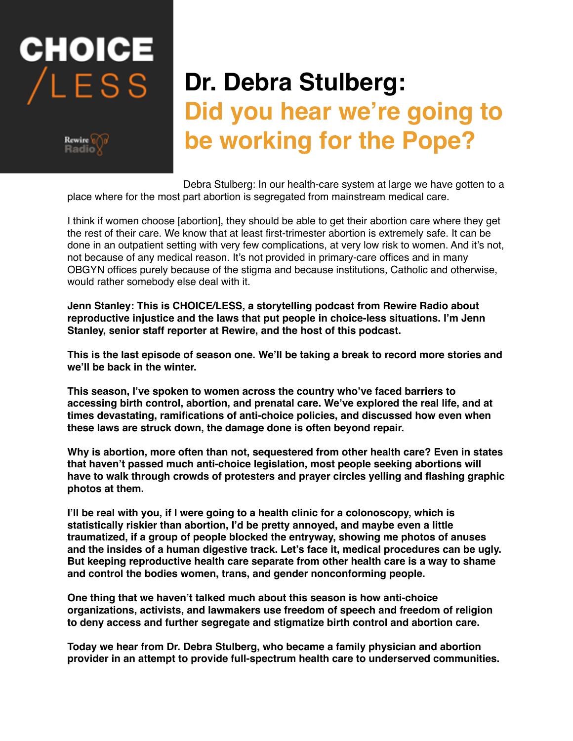# **CHOICE** LESS



# **Dr. Debra Stulberg: Did you hear we're going to be working for the Pope?**

Debra Stulberg: In our health-care system at large we have gotten to a place where for the most part abortion is segregated from mainstream medical care.

I think if women choose [abortion], they should be able to get their abortion care where they get the rest of their care. We know that at least first-trimester abortion is extremely safe. It can be done in an outpatient setting with very few complications, at very low risk to women. And it's not, not because of any medical reason. It's not provided in primary-care offices and in many OBGYN offices purely because of the stigma and because institutions, Catholic and otherwise, would rather somebody else deal with it.

**Jenn Stanley: This is CHOICE/LESS, a storytelling podcast from Rewire Radio about reproductive injustice and the laws that put people in choice-less situations. I'm Jenn Stanley, senior staff reporter at Rewire, and the host of this podcast.**

**This is the last episode of season one. We'll be taking a break to record more stories and we'll be back in the winter.** 

**This season, I've spoken to women across the country who've faced barriers to accessing birth control, abortion, and prenatal care. We've explored the real life, and at times devastating, ramifications of anti-choice policies, and discussed how even when these laws are struck down, the damage done is often beyond repair.** 

**Why is abortion, more often than not, sequestered from other health care? Even in states that haven't passed much anti-choice legislation, most people seeking abortions will have to walk through crowds of protesters and prayer circles yelling and flashing graphic photos at them.** 

**I'll be real with you, if I were going to a health clinic for a colonoscopy, which is statistically riskier than abortion, I'd be pretty annoyed, and maybe even a little traumatized, if a group of people blocked the entryway, showing me photos of anuses and the insides of a human digestive track. Let's face it, medical procedures can be ugly. But keeping reproductive health care separate from other health care is a way to shame and control the bodies women, trans, and gender nonconforming people.** 

**One thing that we haven't talked much about this season is how anti-choice organizations, activists, and lawmakers use freedom of speech and freedom of religion to deny access and further segregate and stigmatize birth control and abortion care.** 

**Today we hear from Dr. Debra Stulberg, who became a family physician and abortion provider in an attempt to provide full-spectrum health care to underserved communities.**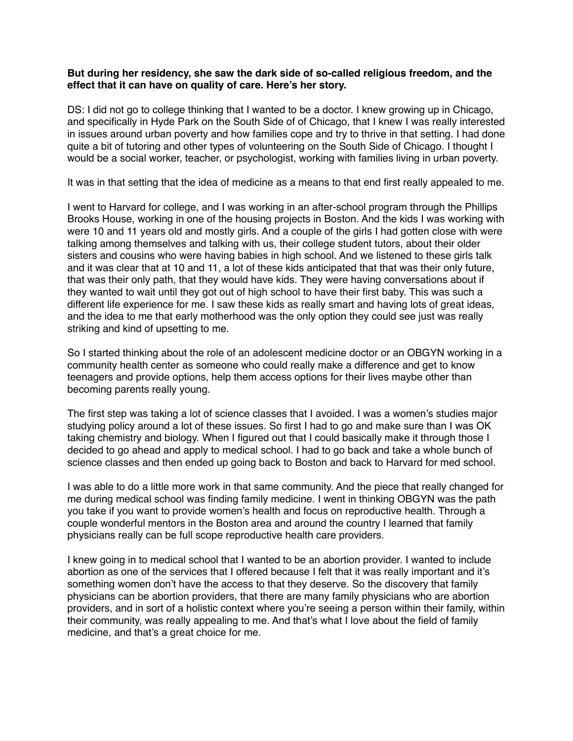### **But during her residency, she saw the dark side of so-called religious freedom, and the effect that it can have on quality of care. Here's her story.**

DS: I did not go to college thinking that I wanted to be a doctor. I knew growing up in Chicago, and specifically in Hyde Park on the South Side of of Chicago, that I knew I was really interested in issues around urban poverty and how families cope and try to thrive in that setting. I had done quite a bit of tutoring and other types of volunteering on the South Side of Chicago. I thought I would be a social worker, teacher, or psychologist, working with families living in urban poverty.

It was in that setting that the idea of medicine as a means to that end first really appealed to me.

I went to Harvard for college, and I was working in an after-school program through the Phillips Brooks House, working in one of the housing projects in Boston. And the kids I was working with were 10 and 11 years old and mostly girls. And a couple of the girls I had gotten close with were talking among themselves and talking with us, their college student tutors, about their older sisters and cousins who were having babies in high school. And we listened to these girls talk and it was clear that at 10 and 11, a lot of these kids anticipated that that was their only future, that was their only path, that they would have kids. They were having conversations about if they wanted to wait until they got out of high school to have their first baby. This was such a different life experience for me. I saw these kids as really smart and having lots of great ideas, and the idea to me that early motherhood was the only option they could see just was really striking and kind of upsetting to me.

So I started thinking about the role of an adolescent medicine doctor or an OBGYN working in a community health center as someone who could really make a difference and get to know teenagers and provide options, help them access options for their lives maybe other than becoming parents really young.

The first step was taking a lot of science classes that I avoided. I was a women's studies major studying policy around a lot of these issues. So first I had to go and make sure than I was OK taking chemistry and biology. When I figured out that I could basically make it through those I decided to go ahead and apply to medical school. I had to go back and take a whole bunch of science classes and then ended up going back to Boston and back to Harvard for med school.

I was able to do a little more work in that same community. And the piece that really changed for me during medical school was finding family medicine. I went in thinking OBGYN was the path you take if you want to provide women's health and focus on reproductive health. Through a couple wonderful mentors in the Boston area and around the country I learned that family physicians really can be full scope reproductive health care providers.

I knew going in to medical school that I wanted to be an abortion provider. I wanted to include abortion as one of the services that I offered because I felt that it was really important and it's something women don't have the access to that they deserve. So the discovery that family physicians can be abortion providers, that there are many family physicians who are abortion providers, and in sort of a holistic context where you're seeing a person within their family, within their community, was really appealing to me. And that's what I love about the field of family medicine, and that's a great choice for me.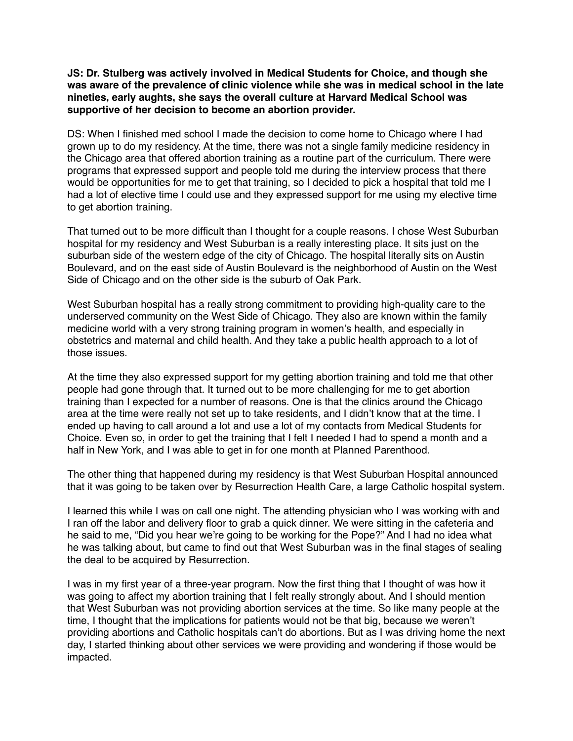**JS: Dr. Stulberg was actively involved in Medical Students for Choice, and though she was aware of the prevalence of clinic violence while she was in medical school in the late nineties, early aughts, she says the overall culture at Harvard Medical School was supportive of her decision to become an abortion provider.**

DS: When I finished med school I made the decision to come home to Chicago where I had grown up to do my residency. At the time, there was not a single family medicine residency in the Chicago area that offered abortion training as a routine part of the curriculum. There were programs that expressed support and people told me during the interview process that there would be opportunities for me to get that training, so I decided to pick a hospital that told me I had a lot of elective time I could use and they expressed support for me using my elective time to get abortion training.

That turned out to be more difficult than I thought for a couple reasons. I chose West Suburban hospital for my residency and West Suburban is a really interesting place. It sits just on the suburban side of the western edge of the city of Chicago. The hospital literally sits on Austin Boulevard, and on the east side of Austin Boulevard is the neighborhood of Austin on the West Side of Chicago and on the other side is the suburb of Oak Park.

West Suburban hospital has a really strong commitment to providing high-quality care to the underserved community on the West Side of Chicago. They also are known within the family medicine world with a very strong training program in women's health, and especially in obstetrics and maternal and child health. And they take a public health approach to a lot of those issues.

At the time they also expressed support for my getting abortion training and told me that other people had gone through that. It turned out to be more challenging for me to get abortion training than I expected for a number of reasons. One is that the clinics around the Chicago area at the time were really not set up to take residents, and I didn't know that at the time. I ended up having to call around a lot and use a lot of my contacts from Medical Students for Choice. Even so, in order to get the training that I felt I needed I had to spend a month and a half in New York, and I was able to get in for one month at Planned Parenthood.

The other thing that happened during my residency is that West Suburban Hospital announced that it was going to be taken over by Resurrection Health Care, a large Catholic hospital system.

I learned this while I was on call one night. The attending physician who I was working with and I ran off the labor and delivery floor to grab a quick dinner. We were sitting in the cafeteria and he said to me, "Did you hear we're going to be working for the Pope?" And I had no idea what he was talking about, but came to find out that West Suburban was in the final stages of sealing the deal to be acquired by Resurrection.

I was in my first year of a three-year program. Now the first thing that I thought of was how it was going to affect my abortion training that I felt really strongly about. And I should mention that West Suburban was not providing abortion services at the time. So like many people at the time, I thought that the implications for patients would not be that big, because we weren't providing abortions and Catholic hospitals can't do abortions. But as I was driving home the next day, I started thinking about other services we were providing and wondering if those would be impacted.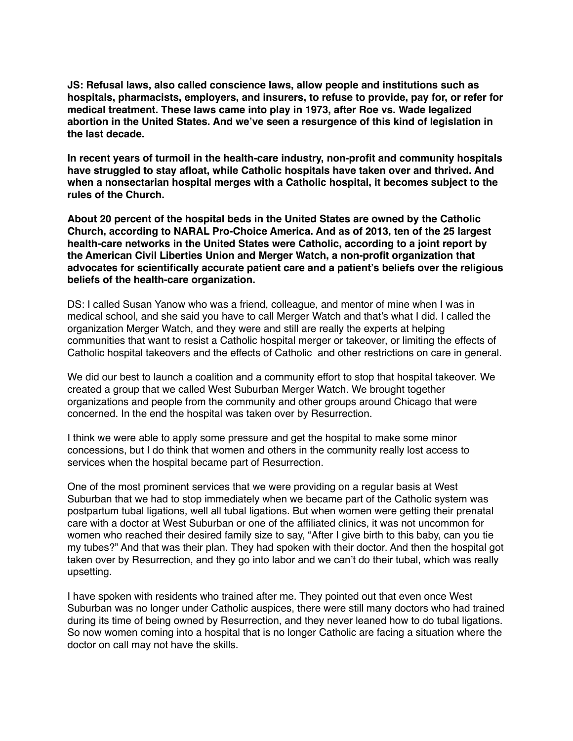**JS: Refusal laws, also called conscience laws, allow people and institutions such as hospitals, pharmacists, employers, and insurers, to refuse to provide, pay for, or refer for medical treatment. These laws came into play in 1973, after Roe vs. Wade legalized abortion in the United States. And we've seen a resurgence of this kind of legislation in the last decade.** 

**In recent years of turmoil in the health-care industry, non-profit and community hospitals have struggled to stay afloat, while Catholic hospitals have taken over and thrived. And when a nonsectarian hospital merges with a Catholic hospital, it becomes subject to the rules of the Church.** 

**About 20 percent of the hospital beds in the United States are owned by the Catholic Church, according to NARAL Pro-Choice America. And as of 2013, ten of the 25 largest health-care networks in the United States were Catholic, according to a joint report by the American Civil Liberties Union and Merger Watch, a non-profit organization that advocates for scientifically accurate patient care and a patient's beliefs over the religious beliefs of the health-care organization.** 

DS: I called Susan Yanow who was a friend, colleague, and mentor of mine when I was in medical school, and she said you have to call Merger Watch and that's what I did. I called the organization Merger Watch, and they were and still are really the experts at helping communities that want to resist a Catholic hospital merger or takeover, or limiting the effects of Catholic hospital takeovers and the effects of Catholic and other restrictions on care in general.

We did our best to launch a coalition and a community effort to stop that hospital takeover. We created a group that we called West Suburban Merger Watch. We brought together organizations and people from the community and other groups around Chicago that were concerned. In the end the hospital was taken over by Resurrection.

I think we were able to apply some pressure and get the hospital to make some minor concessions, but I do think that women and others in the community really lost access to services when the hospital became part of Resurrection.

One of the most prominent services that we were providing on a regular basis at West Suburban that we had to stop immediately when we became part of the Catholic system was postpartum tubal ligations, well all tubal ligations. But when women were getting their prenatal care with a doctor at West Suburban or one of the affiliated clinics, it was not uncommon for women who reached their desired family size to say, "After I give birth to this baby, can you tie my tubes?" And that was their plan. They had spoken with their doctor. And then the hospital got taken over by Resurrection, and they go into labor and we can't do their tubal, which was really upsetting.

I have spoken with residents who trained after me. They pointed out that even once West Suburban was no longer under Catholic auspices, there were still many doctors who had trained during its time of being owned by Resurrection, and they never leaned how to do tubal ligations. So now women coming into a hospital that is no longer Catholic are facing a situation where the doctor on call may not have the skills.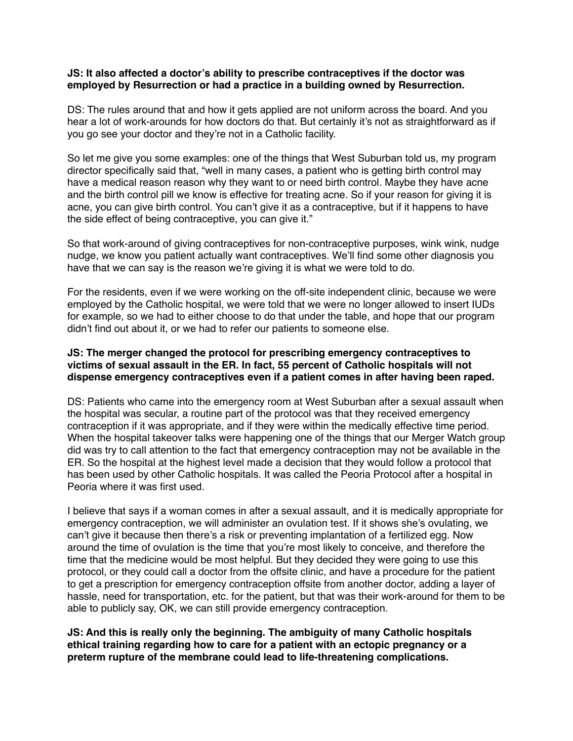### **JS: It also affected a doctor's ability to prescribe contraceptives if the doctor was employed by Resurrection or had a practice in a building owned by Resurrection.**

DS: The rules around that and how it gets applied are not uniform across the board. And you hear a lot of work-arounds for how doctors do that. But certainly it's not as straightforward as if you go see your doctor and they're not in a Catholic facility.

So let me give you some examples: one of the things that West Suburban told us, my program director specifically said that, "well in many cases, a patient who is getting birth control may have a medical reason reason why they want to or need birth control. Maybe they have acne and the birth control pill we know is effective for treating acne. So if your reason for giving it is acne, you can give birth control. You can't give it as a contraceptive, but if it happens to have the side effect of being contraceptive, you can give it."

So that work-around of giving contraceptives for non-contraceptive purposes, wink wink, nudge nudge, we know you patient actually want contraceptives. We'll find some other diagnosis you have that we can say is the reason we're giving it is what we were told to do.

For the residents, even if we were working on the off-site independent clinic, because we were employed by the Catholic hospital, we were told that we were no longer allowed to insert IUDs for example, so we had to either choose to do that under the table, and hope that our program didn't find out about it, or we had to refer our patients to someone else.

## **JS: The merger changed the protocol for prescribing emergency contraceptives to victims of sexual assault in the ER. In fact, 55 percent of Catholic hospitals will not dispense emergency contraceptives even if a patient comes in after having been raped.**

DS: Patients who came into the emergency room at West Suburban after a sexual assault when the hospital was secular, a routine part of the protocol was that they received emergency contraception if it was appropriate, and if they were within the medically effective time period. When the hospital takeover talks were happening one of the things that our Merger Watch group did was try to call attention to the fact that emergency contraception may not be available in the ER. So the hospital at the highest level made a decision that they would follow a protocol that has been used by other Catholic hospitals. It was called the Peoria Protocol after a hospital in Peoria where it was first used.

I believe that says if a woman comes in after a sexual assault, and it is medically appropriate for emergency contraception, we will administer an ovulation test. If it shows she's ovulating, we can't give it because then there's a risk or preventing implantation of a fertilized egg. Now around the time of ovulation is the time that you're most likely to conceive, and therefore the time that the medicine would be most helpful. But they decided they were going to use this protocol, or they could call a doctor from the offsite clinic, and have a procedure for the patient to get a prescription for emergency contraception offsite from another doctor, adding a layer of hassle, need for transportation, etc. for the patient, but that was their work-around for them to be able to publicly say, OK, we can still provide emergency contraception.

**JS: And this is really only the beginning. The ambiguity of many Catholic hospitals ethical training regarding how to care for a patient with an ectopic pregnancy or a preterm rupture of the membrane could lead to life-threatening complications.**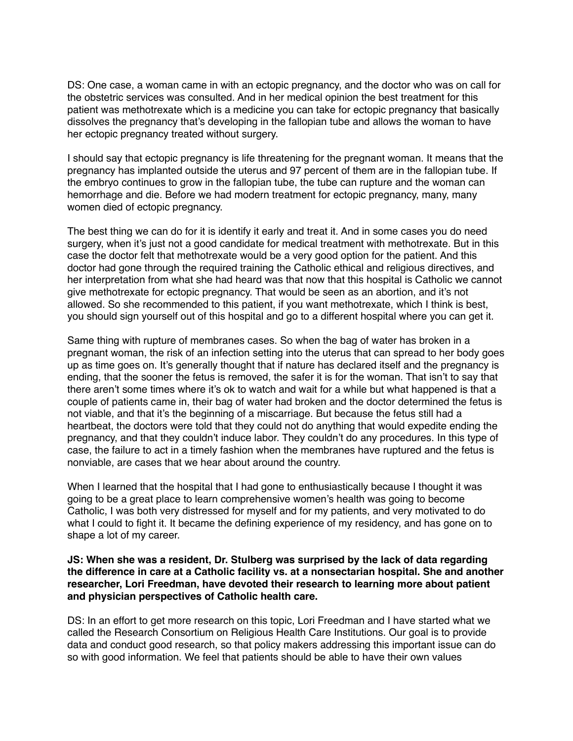DS: One case, a woman came in with an ectopic pregnancy, and the doctor who was on call for the obstetric services was consulted. And in her medical opinion the best treatment for this patient was methotrexate which is a medicine you can take for ectopic pregnancy that basically dissolves the pregnancy that's developing in the fallopian tube and allows the woman to have her ectopic pregnancy treated without surgery.

I should say that ectopic pregnancy is life threatening for the pregnant woman. It means that the pregnancy has implanted outside the uterus and 97 percent of them are in the fallopian tube. If the embryo continues to grow in the fallopian tube, the tube can rupture and the woman can hemorrhage and die. Before we had modern treatment for ectopic pregnancy, many, many women died of ectopic pregnancy.

The best thing we can do for it is identify it early and treat it. And in some cases you do need surgery, when it's just not a good candidate for medical treatment with methotrexate. But in this case the doctor felt that methotrexate would be a very good option for the patient. And this doctor had gone through the required training the Catholic ethical and religious directives, and her interpretation from what she had heard was that now that this hospital is Catholic we cannot give methotrexate for ectopic pregnancy. That would be seen as an abortion, and it's not allowed. So she recommended to this patient, if you want methotrexate, which I think is best, you should sign yourself out of this hospital and go to a different hospital where you can get it.

Same thing with rupture of membranes cases. So when the bag of water has broken in a pregnant woman, the risk of an infection setting into the uterus that can spread to her body goes up as time goes on. It's generally thought that if nature has declared itself and the pregnancy is ending, that the sooner the fetus is removed, the safer it is for the woman. That isn't to say that there aren't some times where it's ok to watch and wait for a while but what happened is that a couple of patients came in, their bag of water had broken and the doctor determined the fetus is not viable, and that it's the beginning of a miscarriage. But because the fetus still had a heartbeat, the doctors were told that they could not do anything that would expedite ending the pregnancy, and that they couldn't induce labor. They couldn't do any procedures. In this type of case, the failure to act in a timely fashion when the membranes have ruptured and the fetus is nonviable, are cases that we hear about around the country.

When I learned that the hospital that I had gone to enthusiastically because I thought it was going to be a great place to learn comprehensive women's health was going to become Catholic, I was both very distressed for myself and for my patients, and very motivated to do what I could to fight it. It became the defining experience of my residency, and has gone on to shape a lot of my career.

#### **JS: When she was a resident, Dr. Stulberg was surprised by the lack of data regarding the difference in care at a Catholic facility vs. at a nonsectarian hospital. She and another researcher, Lori Freedman, have devoted their research to learning more about patient and physician perspectives of Catholic health care.**

DS: In an effort to get more research on this topic, Lori Freedman and I have started what we called the Research Consortium on Religious Health Care Institutions. Our goal is to provide data and conduct good research, so that policy makers addressing this important issue can do so with good information. We feel that patients should be able to have their own values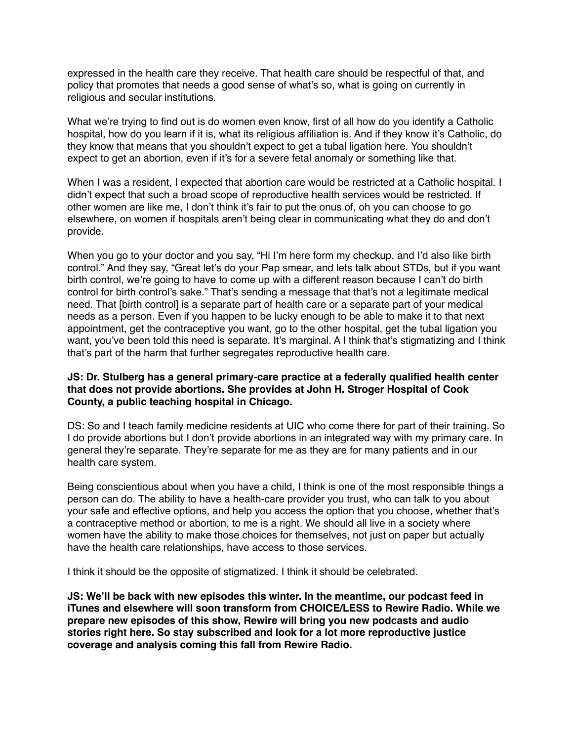expressed in the health care they receive. That health care should be respectful of that, and policy that promotes that needs a good sense of what's so, what is going on currently in religious and secular institutions.

What we're trying to find out is do women even know, first of all how do you identify a Catholic hospital, how do you learn if it is, what its religious affiliation is. And if they know it's Catholic, do they know that means that you shouldn't expect to get a tubal ligation here. You shouldn't expect to get an abortion, even if it's for a severe fetal anomaly or something like that.

When I was a resident, I expected that abortion care would be restricted at a Catholic hospital. I didn't expect that such a broad scope of reproductive health services would be restricted. If other women are like me, I don't think it's fair to put the onus of, oh you can choose to go elsewhere, on women if hospitals aren't being clear in communicating what they do and don't provide.

When you go to your doctor and you say, "Hi I'm here form my checkup, and I'd also like birth control." And they say, "Great let's do your Pap smear, and lets talk about STDs, but if you want birth control, we're going to have to come up with a different reason because I can't do birth control for birth control's sake." That's sending a message that that's not a legitimate medical need. That [birth control] is a separate part of health care or a separate part of your medical needs as a person. Even if you happen to be lucky enough to be able to make it to that next appointment, get the contraceptive you want, go to the other hospital, get the tubal ligation you want, you've been told this need is separate. It's marginal. A I think that's stigmatizing and I think that's part of the harm that further segregates reproductive health care.

#### **JS: Dr. Stulberg has a general primary-care practice at a federally qualified health center that does not provide abortions. She provides at John H. Stroger Hospital of Cook County, a public teaching hospital in Chicago.**

DS: So and I teach family medicine residents at UIC who come there for part of their training. So I do provide abortions but I don't provide abortions in an integrated way with my primary care. In general they're separate. They're separate for me as they are for many patients and in our health care system.

Being conscientious about when you have a child, I think is one of the most responsible things a person can do. The ability to have a health-care provider you trust, who can talk to you about your safe and effective options, and help you access the option that you choose, whether that's a contraceptive method or abortion, to me is a right. We should all live in a society where women have the ability to make those choices for themselves, not just on paper but actually have the health care relationships, have access to those services.

I think it should be the opposite of stigmatized. I think it should be celebrated.

**JS: We'll be back with new episodes this winter. In the meantime, our podcast feed in iTunes and elsewhere will soon transform from CHOICE/LESS to Rewire Radio. While we prepare new episodes of this show, Rewire will bring you new podcasts and audio stories right here. So stay subscribed and look for a lot more reproductive justice coverage and analysis coming this fall from Rewire Radio.**